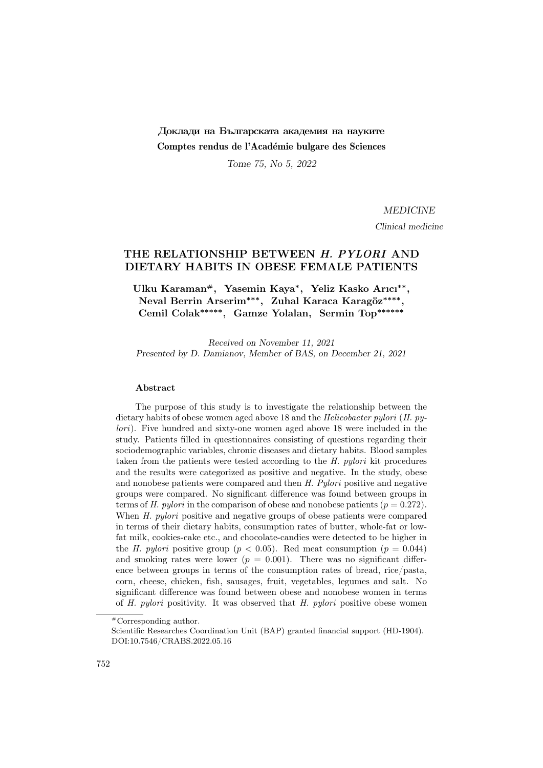# Доклади на Българската академия на науките Comptes rendus de l'Académie bulgare des Sciences

Tome 75, No 5, 2022

MEDICINE

Clinical medicine

## THE RELATIONSHIP BETWEEN H. PYLORI AND DIETARY HABITS IN OBESE FEMALE PATIENTS

Ulku Karaman<sup>#</sup>, Yasemin Kaya<sup>\*</sup>, Yeliz Kasko Arıcı<sup>\*\*</sup>, Neval Berrin Arserim<sup>∗∗∗</sup>, Zuhal Karaca Karagöz<sup>\*\*\*\*</sup>, Cemil Colak∗∗∗∗∗, Gamze Yolalan, Sermin Top∗∗∗∗∗∗

Received on November 11, 2021 Presented by D. Damianov, Member of BAS, on December 21, 2021

#### Abstract

The purpose of this study is to investigate the relationship between the dietary habits of obese women aged above 18 and the Helicobacter pylori (H. pylori). Five hundred and sixty-one women aged above 18 were included in the study. Patients filled in questionnaires consisting of questions regarding their sociodemographic variables, chronic diseases and dietary habits. Blood samples taken from the patients were tested according to the H. pylori kit procedures and the results were categorized as positive and negative. In the study, obese and nonobese patients were compared and then H. Pylori positive and negative groups were compared. No significant difference was found between groups in terms of H. pylori in the comparison of obese and nonobese patients ( $p = 0.272$ ). When H. pylori positive and negative groups of obese patients were compared in terms of their dietary habits, consumption rates of butter, whole-fat or lowfat milk, cookies-cake etc., and chocolate-candies were detected to be higher in the H. pylori positive group ( $p < 0.05$ ). Red meat consumption ( $p = 0.044$ ) and smoking rates were lower  $(p = 0.001)$ . There was no significant difference between groups in terms of the consumption rates of bread, rice/pasta, corn, cheese, chicken, fish, sausages, fruit, vegetables, legumes and salt. No significant difference was found between obese and nonobese women in terms of H. pylori positivity. It was observed that H. pylori positive obese women

<sup>#</sup>Corresponding author.

Scientific Researches Coordination Unit (BAP) granted financial support (HD-1904). DOI:10.7546/CRABS.2022.05.16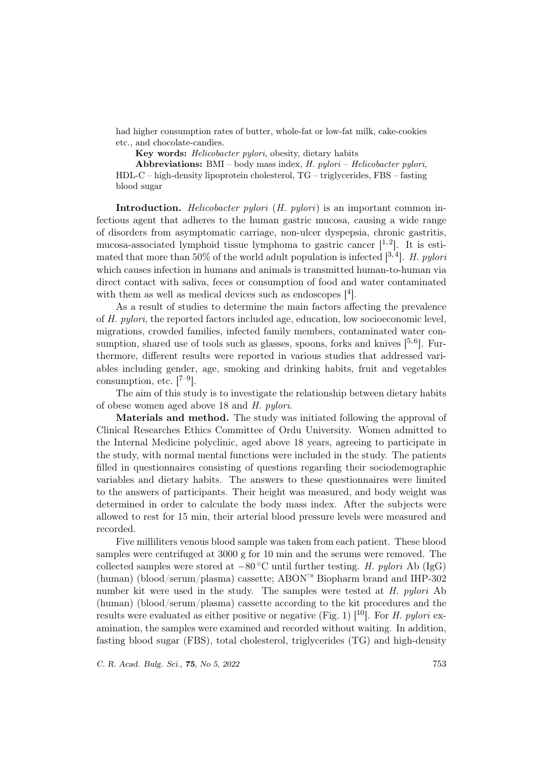had higher consumption rates of butter, whole-fat or low-fat milk, cake-cookies etc., and chocolate-candies.

Key words: Helicobacter pylori, obesity, dietary habits

Abbreviations: BMI – body mass index,  $H.$  pylori – Helicobacter pylori, HDL-C – high-density lipoprotein cholesterol, TG – triglycerides, FBS – fasting blood sugar

Introduction. *Helicobacter pylori* (*H. pylori*) is an important common infectious agent that adheres to the human gastric mucosa, causing a wide range of disorders from asymptomatic carriage, non-ulcer dyspepsia, chronic gastritis, mucosa-associated lymphoid tissue lymphoma to gastric cancer  $[1,2]$ . It is estimated that more than 50% of the world adult population is infected  $[3, 4]$ . H. pylori which causes infection in humans and animals is transmitted human-to-human via direct contact with saliva, feces or consumption of food and water contaminated with them as well as medical devices such as endoscopes  $[4]$ .

As a result of studies to determine the main factors affecting the prevalence of H. pylori, the reported factors included age, education, low socioeconomic level, migrations, crowded families, infected family members, contaminated water consumption, shared use of tools such as glasses, spoons, forks and knives  $[5,6]$ . Furthermore, different results were reported in various studies that addressed variables including gender, age, smoking and drinking habits, fruit and vegetables consumption, etc.  $[7-9]$ .

The aim of this study is to investigate the relationship between dietary habits of obese women aged above 18 and H. pylori.

Materials and method. The study was initiated following the approval of Clinical Researches Ethics Committee of Ordu University. Women admitted to the Internal Medicine polyclinic, aged above 18 years, agreeing to participate in the study, with normal mental functions were included in the study. The patients filled in questionnaires consisting of questions regarding their sociodemographic variables and dietary habits. The answers to these questionnaires were limited to the answers of participants. Their height was measured, and body weight was determined in order to calculate the body mass index. After the subjects were allowed to rest for 15 min, their arterial blood pressure levels were measured and recorded.

Five milliliters venous blood sample was taken from each patient. These blood samples were centrifuged at 3000 g for 10 min and the serums were removed. The collected samples were stored at  $-80\degree\text{C}$  until further testing. H. pylori Ab (IgG) (human) (blood/serum/plasma) cassette; ABON™ Biopharm brand and IHP-302 number kit were used in the study. The samples were tested at H. pylori Ab (human) (blood/serum/plasma) cassette according to the kit procedures and the results were evaluated as either positive or negative (Fig. 1)  $[10]$ . For *H. pylori* examination, the samples were examined and recorded without waiting. In addition, fasting blood sugar (FBS), total cholesterol, triglycerides (TG) and high-density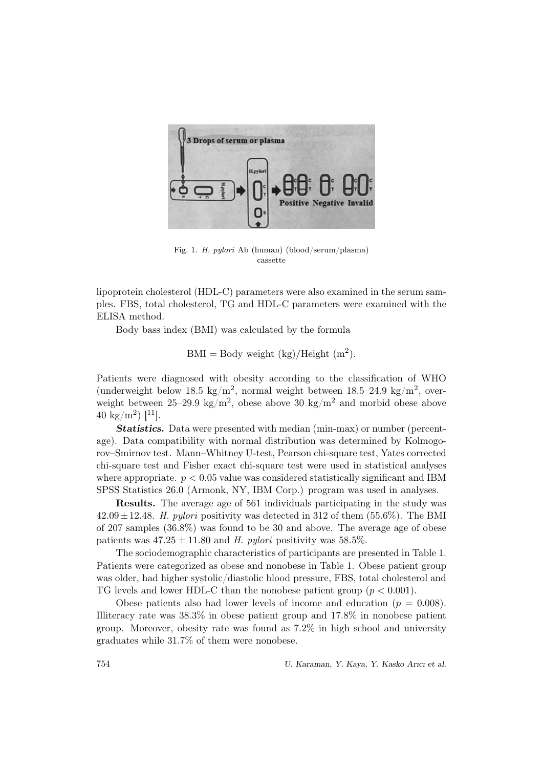

Fig. 1. H. pylori Ab (human) (blood/serum/plasma) cassette

lipoprotein cholesterol (HDL-C) parameters were also examined in the serum samples. FBS, total cholesterol, TG and HDL-C parameters were examined with the ELISA method.

Body bass index (BMI) was calculated by the formula

 $BMI = Body weight (kg)/Height (m<sup>2</sup>).$ 

Patients were diagnosed with obesity according to the classification of WHO (underweight below 18.5 kg/m<sup>2</sup>, normal weight between  $18.5-24.9 \text{ kg/m}^2$ , overweight between  $25-29.9 \text{ kg/m}^2$ , obese above 30 kg/m<sup>2</sup> and morbid obese above 40 kg/m<sup>2</sup>) [<sup>11</sup>].

Statistics. Data were presented with median (min-max) or number (percentage). Data compatibility with normal distribution was determined by Kolmogorov–Smirnov test. Mann–Whitney U-test, Pearson chi-square test, Yates corrected chi-square test and Fisher exact chi-square test were used in statistical analyses where appropriate.  $p < 0.05$  value was considered statistically significant and IBM SPSS Statistics 26.0 (Armonk, NY, IBM Corp.) program was used in analyses.

Results. The average age of 561 individuals participating in the study was  $42.09 \pm 12.48$ . H. pylori positivity was detected in 312 of them (55.6%). The BMI of 207 samples (36.8%) was found to be 30 and above. The average age of obese patients was  $47.25 \pm 11.80$  and H. pylori positivity was 58.5%.

The sociodemographic characteristics of participants are presented in Table 1. Patients were categorized as obese and nonobese in Table 1. Obese patient group was older, had higher systolic/diastolic blood pressure, FBS, total cholesterol and TG levels and lower HDL-C than the nonobese patient group  $(p < 0.001)$ .

Obese patients also had lower levels of income and education  $(p = 0.008)$ . Illiteracy rate was 38.3% in obese patient group and 17.8% in nonobese patient group. Moreover, obesity rate was found as 7.2% in high school and university graduates while 31.7% of them were nonobese.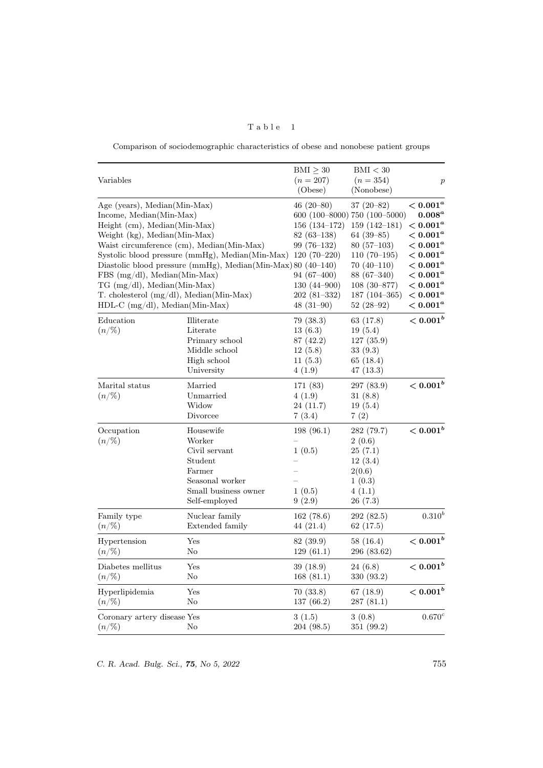| а.<br>V. | D I | ↩ |  |
|----------|-----|---|--|
|          |     |   |  |

Comparison of sociodemographic characteristics of obese and nonobese patient groups

| Variables                                                                                                                                                                                                                                                                                                                                                                                                                                                                     |                                                                                                                       | $\text{BMI} \geq 30$<br>$(n = 207)$<br>(Obese)                                                                                 | $\mathrm{BMI} < 30$<br>$(n=354)$<br>(Nonobese)                                                                                                                                                  | $\boldsymbol{p}$                                                                                                                                                                   |
|-------------------------------------------------------------------------------------------------------------------------------------------------------------------------------------------------------------------------------------------------------------------------------------------------------------------------------------------------------------------------------------------------------------------------------------------------------------------------------|-----------------------------------------------------------------------------------------------------------------------|--------------------------------------------------------------------------------------------------------------------------------|-------------------------------------------------------------------------------------------------------------------------------------------------------------------------------------------------|------------------------------------------------------------------------------------------------------------------------------------------------------------------------------------|
| Age (years), Median(Min-Max)<br>Income, Median(Min-Max)<br>Height (cm), Median(Min-Max)<br>Weight (kg), Median(Min-Max)<br>Waist circumference (cm), Median(Min-Max)<br>Systolic blood pressure (mmHg), Median(Min-Max) 120 (70-220)<br>Diastolic blood pressure (mmHg), Median(Min-Max) 80 (40-140)<br>$FBS(mg/dl)$ , Median(Min-Max)<br>$TG \text{ (mg/dl)}, \text{Median} (\text{Min-Max})$<br>T. cholesterol (mg/dl), Median(Min-Max)<br>$HDL-C$ (mg/dl), Median(Min-Max) |                                                                                                                       | $46(20-80)$<br>$156(134-172)$<br>$82(63-138)$<br>$99(76-132)$<br>$94(67-400)$<br>$130(44-900)$<br>$202(81-332)$<br>$48(31-90)$ | $37(20-82)$<br>$600(100-8000)750(100-5000)$<br>$159(142-181)$<br>$64(39-85)$<br>$80(57-103)$<br>$110(70-195)$<br>$70(40-110)$<br>$88(67-340)$<br>$108(30-877)$<br>$187(104-365)$<br>$52(28-92)$ | $< 0.001 ^{a}$<br>$0.008^a$<br>$< 0.001 ^a$<br>$< 0.001 ^{a}$<br>$< 0.001 ^a$<br>$< 0.001 ^a$<br>$< 0.001^a$<br>$< 0.001 ^{a}$<br>$< 0.001 ^{a}$<br>$< 0.001 ^{a}$<br>$< 0.001 ^a$ |
| Education<br>$(n/\%)$                                                                                                                                                                                                                                                                                                                                                                                                                                                         | Illiterate<br>Literate<br>Primary school<br>Middle school<br>High school<br>University                                | 79 (38.3)<br>13(6.3)<br>87 (42.2)<br>12(5.8)<br>11(5.3)<br>4(1.9)                                                              | 63 (17.8)<br>19(5.4)<br>127(35.9)<br>33 (9.3)<br>65 (18.4)<br>47 (13.3)                                                                                                                         | $< 0.001^b$                                                                                                                                                                        |
| Marital status<br>$(n/\%)$                                                                                                                                                                                                                                                                                                                                                                                                                                                    | Married<br>Unmarried<br>Widow<br>Divorcee                                                                             | 171 (83)<br>4(1.9)<br>24(11.7)<br>7(3.4)                                                                                       | 297 (83.9)<br>31(8.8)<br>19(5.4)<br>7(2)                                                                                                                                                        | $< 0.001^b$                                                                                                                                                                        |
| Occupation<br>$(n/\%)$                                                                                                                                                                                                                                                                                                                                                                                                                                                        | Housewife<br>Worker<br>Civil servant<br>Student<br>Farmer<br>Seasonal worker<br>Small business owner<br>Self-employed | 198(96.1)<br>1(0.5)<br>1(0.5)<br>9(2.9)                                                                                        | 282 (79.7)<br>2(0.6)<br>25(7.1)<br>12(3.4)<br>2(0.6)<br>1(0.3)<br>4(1.1)<br>26 (7.3)                                                                                                            | $< 0.001^b$                                                                                                                                                                        |
| Family type<br>$(n/\%)$                                                                                                                                                                                                                                                                                                                                                                                                                                                       | Nuclear family<br>Extended family                                                                                     | 162(78.6)<br>44 (21.4)                                                                                                         | 292 (82.5)<br>62 (17.5)                                                                                                                                                                         | $0.310^{b}$                                                                                                                                                                        |
| Hypertension<br>$(n/\%)$                                                                                                                                                                                                                                                                                                                                                                                                                                                      | Yes<br>No                                                                                                             | 82 (39.9)<br>129(61.1)                                                                                                         | 58 (16.4)<br>296 (83.62)                                                                                                                                                                        | $< 0.001^b$                                                                                                                                                                        |
| Diabetes mellitus<br>$(n/\%)$                                                                                                                                                                                                                                                                                                                                                                                                                                                 | Yes<br>No                                                                                                             | 39 (18.9)<br>168(81.1)                                                                                                         | 24 (6.8)<br>330 (93.2)                                                                                                                                                                          | $< 0.001^b$                                                                                                                                                                        |
| Hyperlipidemia<br>$(n/\%)$                                                                                                                                                                                                                                                                                                                                                                                                                                                    | Yes<br>No                                                                                                             | 70 (33.8)<br>137 (66.2)                                                                                                        | 67 (18.9)<br>287 (81.1)                                                                                                                                                                         | $< 0.001^b$                                                                                                                                                                        |
| Coronary artery disease Yes<br>$(n/\%)$                                                                                                                                                                                                                                                                                                                                                                                                                                       | No                                                                                                                    | 3(1.5)<br>204 (98.5)                                                                                                           | 3(0.8)<br>351 (99.2)                                                                                                                                                                            | 0.670 <sup>c</sup>                                                                                                                                                                 |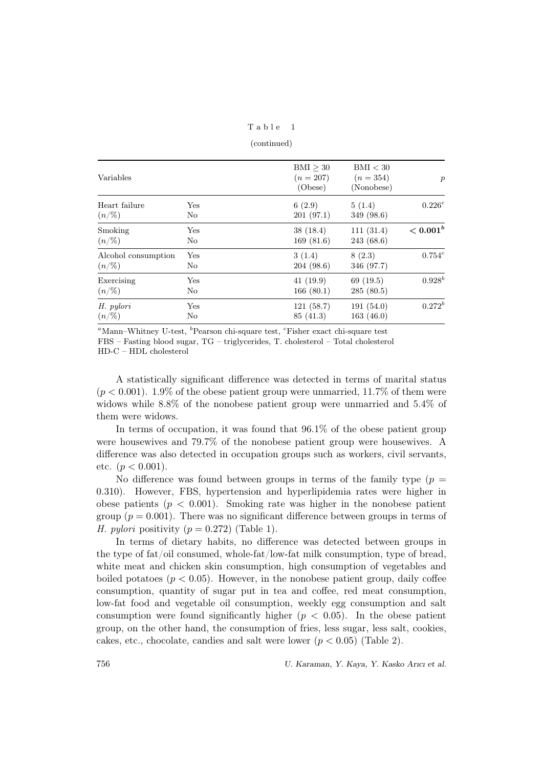| Table |  |  |  |  |  |  |
|-------|--|--|--|--|--|--|
|-------|--|--|--|--|--|--|

(continued)

| Variables           |                | BMI > 30<br>$(n=207)$<br>(Obese) | BMI < 30<br>$(n=354)$<br>(Nonobese) | $\boldsymbol{p}$ |
|---------------------|----------------|----------------------------------|-------------------------------------|------------------|
| Heart failure       | Yes            | 6(2.9)                           | 5(1.4)                              | $0.226^{c}$      |
| $(n/\%)$            | N <sub>o</sub> | 201(97.1)                        | 349 (98.6)                          |                  |
| Smoking             | Yes            | 38(18.4)                         | 111(31.4)                           | $< 0.001^b$      |
| $(n/\%)$            | N <sub>o</sub> | 169(81.6)                        | 243 (68.6)                          |                  |
| Alcohol consumption | Yes            | 3(1.4)                           | 8(2.3)                              | $0.754^{c}$      |
| $(n/\%)$            | N <sub>o</sub> | 204(98.6)                        | 346 (97.7)                          |                  |
| Exercising          | Yes            | 41(19.9)                         | 69(19.5)                            | $0.928^{b}$      |
| $(n/\%)$            | No             | 166(80.1)                        | 285(80.5)                           |                  |
| H. pylori           | Yes            | 121(58.7)                        | 191(54.0)                           | $0.272^{b}$      |
| $(n/\%)$            | No             | 85(41.3)                         | 163(46.0)                           |                  |

 ${}^a$ Mann–Whitney U-test,  ${}^b$ Pearson chi-square test,  ${}^c$ Fisher exact chi-square test FBS – Fasting blood sugar, TG – triglycerides, T. cholesterol – Total cholesterol HD-C – HDL cholesterol

A statistically significant difference was detected in terms of marital status  $(p < 0.001)$ . 1.9% of the obese patient group were unmarried, 11.7% of them were widows while 8.8% of the nonobese patient group were unmarried and 5.4% of them were widows.

In terms of occupation, it was found that 96.1% of the obese patient group were housewives and 79.7% of the nonobese patient group were housewives. A difference was also detected in occupation groups such as workers, civil servants, etc.  $(p < 0.001)$ .

No difference was found between groups in terms of the family type  $(p =$ 0.310). However, FBS, hypertension and hyperlipidemia rates were higher in obese patients ( $p < 0.001$ ). Smoking rate was higher in the nonobese patient group ( $p = 0.001$ ). There was no significant difference between groups in terms of H. pylori positivity  $(p = 0.272)$  (Table 1).

In terms of dietary habits, no difference was detected between groups in the type of fat/oil consumed, whole-fat/low-fat milk consumption, type of bread, white meat and chicken skin consumption, high consumption of vegetables and boiled potatoes  $(p < 0.05)$ . However, in the nonobese patient group, daily coffee consumption, quantity of sugar put in tea and coffee, red meat consumption, low-fat food and vegetable oil consumption, weekly egg consumption and salt consumption were found significantly higher  $(p < 0.05)$ . In the obese patient group, on the other hand, the consumption of fries, less sugar, less salt, cookies, cakes, etc., chocolate, candies and salt were lower  $(p < 0.05)$  (Table 2).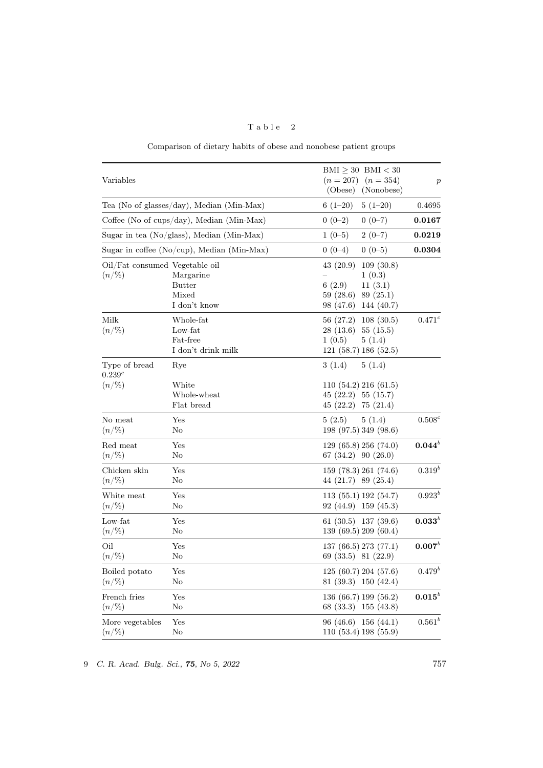| Variables                      |                                                | $BMI > 30$ $BMI < 30$<br>$(n = 207)$ $(n = 354)$<br>(Obese)<br>(Nonobese) | $\boldsymbol{p}$     |
|--------------------------------|------------------------------------------------|---------------------------------------------------------------------------|----------------------|
|                                | Tea (No of glasses/day), Median (Min-Max)      | $5(1-20)$<br>$6(1-20)$                                                    | 0.4695               |
|                                | Coffee (No of cups/day), Median (Min-Max)      | $0(0-2)$<br>$0(0-7)$                                                      | 0.0167               |
|                                | Sugar in tea (No/glass), Median (Min-Max)      | $1(0-5)$<br>$2(0-7)$                                                      | 0.0219               |
|                                | Sugar in coffee ( $No/cup$ ), Median (Min-Max) | $0(0-5)$<br>$0(0-4)$                                                      | 0.0304               |
| Oil/Fat consumed Vegetable oil |                                                | 43(20.9)<br>109(30.8)                                                     |                      |
| $(n/\%)$                       | Margarine                                      | 1(0.3)                                                                    |                      |
|                                | <b>Butter</b>                                  | 11(3.1)<br>6(2.9)                                                         |                      |
|                                | Mixed                                          | 59(28.6)<br>89(25.1)                                                      |                      |
|                                | I don't know                                   | 98 (47.6)<br>144 (40.7)                                                   |                      |
| Milk                           | Whole-fat                                      | 56(27.2)<br>108(30.5)                                                     | $0.471^{c}$          |
| $(n/\%)$                       | Low-fat                                        | $28(13.6)$ 55 (15.5)                                                      |                      |
|                                | Fat-free                                       | 1(0.5)<br>5(1.4)                                                          |                      |
|                                | I don't drink milk                             | 121(58.7)186(52.5)                                                        |                      |
|                                |                                                |                                                                           |                      |
| Type of bread<br>$0.239^c$     | Rye                                            | 3(1.4)<br>5(1.4)                                                          |                      |
| $(n/\%)$                       | White                                          | 110(54.2)216(61.5)                                                        |                      |
|                                | Whole-wheat                                    | $45(22.2)$ 55 $(15.7)$                                                    |                      |
|                                | Flat bread                                     | 45 (22.2) 75 (21.4)                                                       |                      |
| No meat                        | Yes                                            | 5(2.5)<br>5(1.4)                                                          | $0.508^c$            |
| $(n/\%)$                       | No                                             | 198 (97.5) 349 (98.6)                                                     |                      |
| Red meat                       | Yes                                            | 129(65.8)256(74.0)                                                        | $0.044^{b}$          |
| $(n/\%)$                       | $\rm No$                                       | 67 (34.2) 90 (26.0)                                                       |                      |
| Chicken skin                   | Yes                                            | 159 (78.3) 261 (74.6)                                                     | $0.319^{b}$          |
| $(n/\%)$                       | $\rm No$                                       | 44 (21.7) 89 (25.4)                                                       |                      |
| White meat                     | Yes                                            | 113(55.1)192(54.7)                                                        | $0.923^{b}$          |
| $(n/\%)$                       | No                                             | $92(44.9)$ 159 (45.3)                                                     |                      |
| Low-fat                        | Yes                                            | $61(30.5)$ 137 (39.6)                                                     | $\mathbf{0.033}^{b}$ |
| $(n/\%)$                       | No                                             | 139 (69.5) 209 (60.4)                                                     |                      |
| Oil                            | Yes                                            | 137(66.5)273(77.1)                                                        | $0.007^b$            |
| $(n/\%)$                       | No                                             | 69 (33.5) 81 (22.9)                                                       |                      |
| Boiled potato                  | Yes                                            | 125 (60.7) 204 (57.6)                                                     | $0.479^{b}$          |
| $(n/\%)$                       | $\rm No$                                       | 81 (39.3) 150 (42.4)                                                      |                      |
| French fries                   | Yes                                            | 136 (66.7) 199 (56.2)                                                     | $0.015^b$            |
| $(n/\%)$                       | $\rm No$                                       | 68 (33.3)<br>155(43.8)                                                    |                      |
| More vegetables                | Yes                                            | 96(46.6)156(44.1)                                                         | $0.561^{b}$          |
| $(n/\%)$                       | $\rm No$                                       | 110(53.4)198(55.9)                                                        |                      |

Table 2

Comparison of dietary habits of obese and nonobese patient groups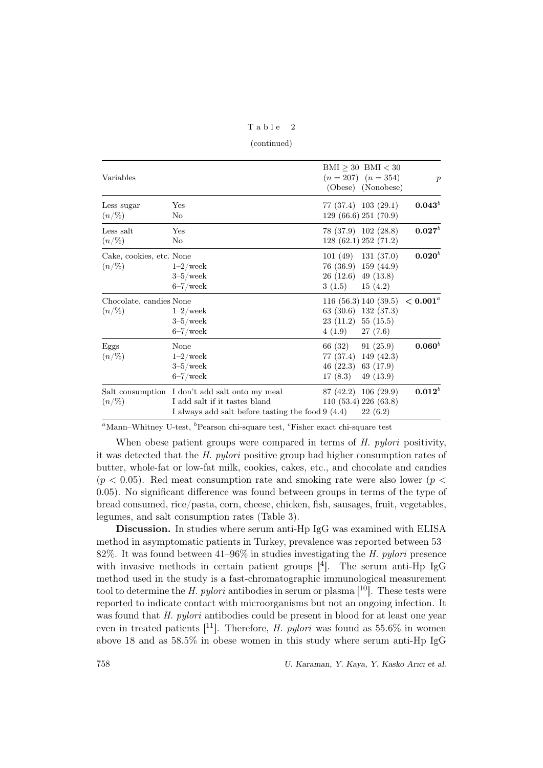Table 2

(continued)

| Variables                            |                                                                                                                                       |                                               | $\text{BMI} \geq 30$ BMI < 30<br>$(n = 207)$ $(n = 354)$<br>(Obese) (Nonobese) | $\boldsymbol{p}$ |
|--------------------------------------|---------------------------------------------------------------------------------------------------------------------------------------|-----------------------------------------------|--------------------------------------------------------------------------------|------------------|
| Less sugar<br>$(n/\%)$               | Yes<br>No                                                                                                                             |                                               | 77 (37.4) 103 (29.1)<br>129 (66.6) 251 (70.9)                                  | $0.043^{b}$      |
| Less salt<br>$(n/\%)$                | Yes<br>No                                                                                                                             |                                               | 78 (37.9) 102 (28.8)<br>128 (62.1) 252 (71.2)                                  | $0.027^{b}$      |
| Cake, cookies, etc. None<br>$(n/\%)$ | $1-2$ /week<br>$3-5$ /week<br>$6 - 7$ /week                                                                                           | $26(12.6)$ 49 (13.8)<br>3(1.5)                | $101(49)$ 131 (37.0)<br>76 (36.9) 159 (44.9)<br>15(4.2)                        | $0.020^b$        |
| Chocolate, candies None<br>$(n/\%)$  | $1-2$ /week<br>$3-5$ /week<br>$6 - 7$ /week                                                                                           | $23(11.2)$ 55 (15.5)<br>4(1.9)                | 116 (56.3) 140 (39.5) $\lt 0.001^{\circ}$<br>$63(30.6)$ 132 (37.3)<br>27(7.6)  |                  |
| Eggs<br>$(n/\%)$                     | None<br>$1-2$ /week<br>$3-5$ /week<br>$6 - 7$ /week                                                                                   | 66 (32)<br>46 $(22.3)$ 63 $(17.9)$<br>17(8.3) | 91(25.9)<br>77 (37.4) 149 (42.3)<br>49 $(13.9)$                                | $0.060^{b}$      |
| $(n/\%)$                             | Salt consumption I don't add salt onto my meal<br>I add salt if it tastes bland<br>I always add salt before tasting the food $9(4.4)$ |                                               | 87 (42.2) 106 (29.9)<br>110 (53.4) 226 (63.8)<br>22(6.2)                       | $0.012^{b}$      |

 ${}^a$ Mann–Whitney U-test,  ${}^b$ Pearson chi-square test,  ${}^c$ Fisher exact chi-square test

When obese patient groups were compared in terms of H. pylori positivity, it was detected that the H. pylori positive group had higher consumption rates of butter, whole-fat or low-fat milk, cookies, cakes, etc., and chocolate and candies  $(p < 0.05)$ . Red meat consumption rate and smoking rate were also lower  $(p <$ 0.05). No significant difference was found between groups in terms of the type of bread consumed, rice/pasta, corn, cheese, chicken, fish, sausages, fruit, vegetables, legumes, and salt consumption rates (Table 3).

Discussion. In studies where serum anti-Hp IgG was examined with ELISA method in asymptomatic patients in Turkey, prevalence was reported between 53– 82%. It was found between  $41-96\%$  in studies investigating the H. pylori presence with invasive methods in certain patient groups  $[4]$ . The serum anti-Hp IgG method used in the study is a fast-chromatographic immunological measurement tool to determine the H. pylori antibodies in serum or plasma  $[10]$ . These tests were reported to indicate contact with microorganisms but not an ongoing infection. It was found that H. pylori antibodies could be present in blood for at least one year even in treated patients  $[11]$ . Therefore, *H. pylori* was found as 55.6% in women above 18 and as 58.5% in obese women in this study where serum anti-Hp IgG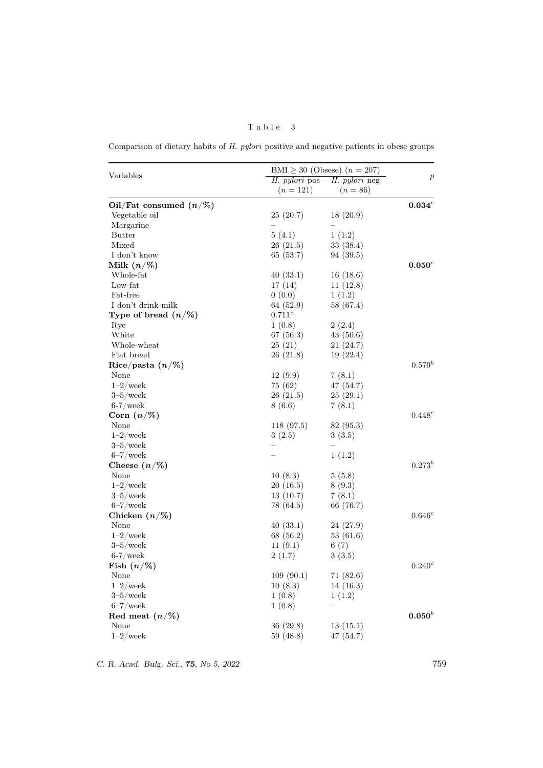# Table 3

Comparison of dietary habits of H. pylori positive and negative patients in obese groups

|                                        | BMI $\geq$ 30 (Obsese) $(n = 207)$ |                      |                  |
|----------------------------------------|------------------------------------|----------------------|------------------|
| Variables                              | H. pylori pos                      | H. <i>pylori</i> neg | $\boldsymbol{p}$ |
|                                        | $(n=121)$                          | $(n = 86)$           |                  |
| Oil/Fat consumed $(n/\%)$              |                                    |                      | $0.034^c$        |
| Vegetable oil                          | 25(20.7)                           | 18(20.9)             |                  |
| Margarine                              | $\equiv$                           |                      |                  |
| <b>Butter</b>                          | 5(4.1)                             | 1(1.2)               |                  |
| Mixed                                  | 26(21.5)                           | 33(38.4)             |                  |
| I don't know                           | 65 (53.7)                          | 94(39.5)             |                  |
| Milk $(n/\%)$                          |                                    |                      | $0.050^c$        |
| Whole-fat                              | 40 (33.1)                          | 16(18.6)             |                  |
| Low-fat                                | 17 (14)                            | 11(12.8)             |                  |
| Fat-free                               | 0(0.0)                             | 1(1.2)               |                  |
| I don't drink milk                     | 64 (52.9)                          | 58 (67.4)            |                  |
| Type of bread $(n/\%)$                 | $0.711^c$                          |                      |                  |
| Rye                                    | 1(0.8)                             | 2(2.4)               |                  |
| White                                  | 67 (56.3)                          | 43(50.6)             |                  |
| Whole-wheat                            | 25(21)                             | 21(24.7)             |                  |
| Flat bread                             | 26(21.8)                           | 19(22.4)             |                  |
| $\mathrm{Rice}/\mathrm{pasta}\ (n/\%)$ |                                    |                      | $0.579^{b}$      |
| None                                   | 12(9.9)                            | 7(8.1)               |                  |
| $1-2$ /week                            | 75 (62)                            | 47 (54.7)            |                  |
| $3-5$ /week                            | 26(21.5)                           | 25(29.1)             |                  |
| $6-7/{\rm week}$                       | 8(6.6)                             | 7(8.1)               |                  |
| $\operatorname{Corn}\ (n/\%)$          |                                    |                      | $0.448^{c}$      |
| None                                   | 118 (97.5)                         | 82 (95.3)            |                  |
| $1-2$ /week                            | 3(2.5)                             | 3(3.5)               |                  |
| $3-5$ /week                            |                                    |                      |                  |
| $6 - 7$ /week                          |                                    | 1(1.2)               |                  |
| Cheese $(n/\%)$                        |                                    |                      | $0.273^{b}$      |
| None                                   | 10(8.3)                            | 5(5.8)               |                  |
| $1-2$ /week                            | 20(16.5)                           | 8(9.3)               |                  |
| $3-5$ /week                            | 13(10.7)                           | 7(8.1)               |                  |
| $6 - 7$ /week                          | 78 (64.5)                          | 66 (76.7)            |                  |
| Chicken $(n/\%)$                       |                                    |                      | $0.646^c$        |
| None                                   | 40(33.1)                           | 24 (27.9)            |                  |
| $1-2$ /week                            | 68 (56.2)                          | 53(61.6)             |                  |
| $3-5$ /week                            | 11(9.1)                            | 6(7)                 |                  |
| $6-7$ /week                            | 2(1.7)                             | 3(3.5)               |                  |
| Fish $(n/\%)$                          |                                    |                      | $0.240^c$        |
| None                                   | 109(90.1)                          | 71(82.6)             |                  |
|                                        |                                    |                      |                  |
| $1-2$ /week<br>$3-5$ /week             | 10(8.3)                            | 14 (16.3)            |                  |
|                                        | 1(0.8)                             | 1(1.2)               |                  |
| $6 - 7$ /week                          | 1(0.8)                             |                      | $0.050^b$        |
| Red meat $(n/\%)$                      |                                    |                      |                  |
| None                                   | 36(29.8)                           | 13(15.1)             |                  |
| $1-2$ /week                            | 59 (48.8)                          | 47(54.7)             |                  |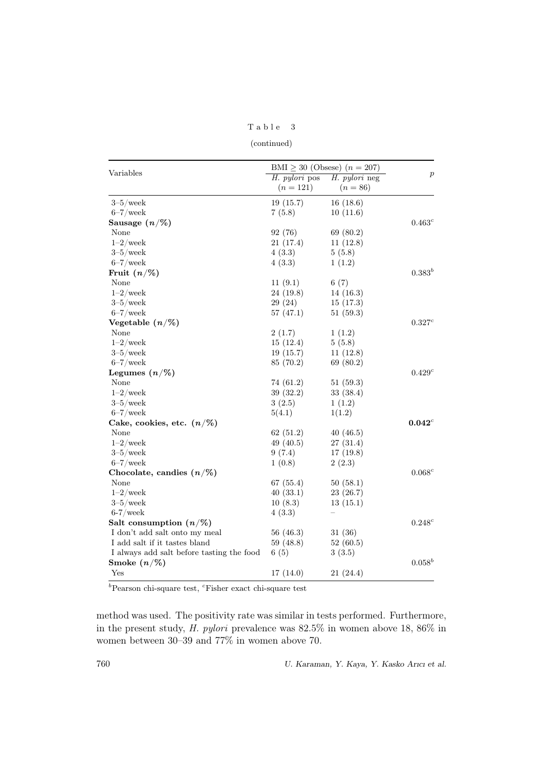### Table 3

(continued)

|                                           | BMI $\geq$ 30 (Obsese) $(n = 207)$ |                      |                  |
|-------------------------------------------|------------------------------------|----------------------|------------------|
| Variables                                 | H. pylori pos                      | <i>H. pylori</i> neg | $\boldsymbol{p}$ |
|                                           | $(n=121)$                          | $(n = 86)$           |                  |
| $3-5$ /week                               | 19(15.7)                           | 16(18.6)             |                  |
| $6 - 7$ /week                             | 7(5.8)                             | 10(11.6)             |                  |
| Sausage $(n/\%)$                          |                                    |                      | $0.463^c$        |
| None                                      | 92(76)                             | 69(80.2)             |                  |
| $1-2$ /week                               | 21(17.4)                           | 11(12.8)             |                  |
| $3-5$ /week                               | 4(3.3)                             | 5(5.8)               |                  |
| $6 - 7$ /week                             | 4(3.3)                             | 1(1.2)               |                  |
| Fruit $(n/\%)$                            |                                    |                      | $0.383^{b}$      |
| None                                      | 11(9.1)                            | 6(7)                 |                  |
| $1-2$ /week                               | 24(19.8)                           | 14(16.3)             |                  |
| $3-5$ /week                               | 29(24)                             | 15(17.3)             |                  |
| $6-7$ /week                               | 57(47.1)                           | 51(59.3)             |                  |
| Vegetable $(n/\%)$                        |                                    |                      | 0.327c           |
| None                                      | 2(1.7)                             | 1(1.2)               |                  |
| $1-2$ /week                               | 15(12.4)                           | 5(5.8)               |                  |
| $3-5$ /week                               | 19(15.7)                           | 11(12.8)             |                  |
| $6 - 7$ /week                             | 85 (70.2)                          | 69(80.2)             |                  |
| Legumes $(n/\%)$                          |                                    |                      | $0.429^c$        |
| None                                      | 74 (61.2)                          | 51(59.3)             |                  |
| $1 - 2$ /week                             | 39(32.2)                           | 33(38.4)             |                  |
| $3-5$ /week                               | 3(2.5)                             | 1(1.2)               |                  |
| $6 - 7$ /week                             | 5(4.1)                             | 1(1.2)               |                  |
| Cake, cookies, etc. $(n/\%)$              |                                    |                      | $0.042^c$        |
| None                                      | 62(51.2)                           | 40(46.5)             |                  |
| $1-2$ /week                               | 49 $(40.5)$                        | 27(31.4)             |                  |
| $3-5$ /week                               | 9(7.4)                             | 17(19.8)             |                  |
| $6 - 7$ /week                             | 1(0.8)                             | 2(2.3)               |                  |
| Chocolate, candies $(n/\%)$               |                                    |                      | $0.068^c$        |
| None                                      | 67(55.4)                           | 50(58.1)             |                  |
| $1 - 2$ /week                             | 40(33.1)                           | 23(26.7)             |                  |
| $3-5$ /week                               | 10(8.3)                            | 13(15.1)             |                  |
| $6-7$ /week                               | 4(3.3)                             |                      |                  |
| Salt consumption $(n/\%)$                 |                                    |                      | $0.248^c$        |
| I don't add salt onto my meal             | 56(46.3)                           | 31(36)               |                  |
| I add salt if it tastes bland             | 59(48.8)                           | 52(60.5)             |                  |
| I always add salt before tasting the food | 6(5)                               | 3(3.5)               |                  |
| Smoke $(n/\%)$                            |                                    |                      | $0.058^b$        |
| Yes                                       | 17(14.0)                           | 21(24.4)             |                  |
|                                           |                                    |                      |                  |

 $b$ Pearson chi-square test,  $c$ Fisher exact chi-square test

method was used. The positivity rate was similar in tests performed. Furthermore, in the present study, H. pylori prevalence was 82.5% in women above 18, 86% in women between 30–39 and 77% in women above 70.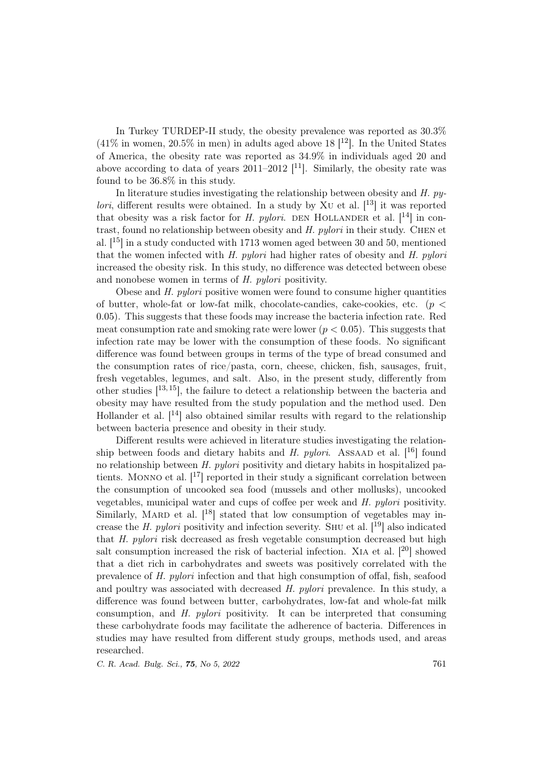In Turkey TURDEP-II study, the obesity prevalence was reported as 30.3%  $(41\%$  in women, 20.5% in men) in adults aged above 18 [ $^{12}$ ]. In the United States of America, the obesity rate was reported as 34.9% in individuals aged 20 and above according to data of years 2011–2012  $[11]$ . Similarly, the obesity rate was found to be 36.8% in this study.

In literature studies investigating the relationship between obesity and H. py*lori*, different results were obtained. In a study by XU et al.  $[13]$  it was reported that obesity was a risk factor for H. pylori. DEN HOLLANDER et al.  $[14]$  in contrast, found no relationship between obesity and  $H.$  pylori in their study. CHEN et al.  $[15]$  in a study conducted with 1713 women aged between 30 and 50, mentioned that the women infected with H. pylori had higher rates of obesity and H. pylori increased the obesity risk. In this study, no difference was detected between obese and nonobese women in terms of H. pylori positivity.

Obese and H. pylori positive women were found to consume higher quantities of butter, whole-fat or low-fat milk, chocolate-candies, cake-cookies, etc. ( $p <$ 0.05). This suggests that these foods may increase the bacteria infection rate. Red meat consumption rate and smoking rate were lower ( $p < 0.05$ ). This suggests that infection rate may be lower with the consumption of these foods. No significant difference was found between groups in terms of the type of bread consumed and the consumption rates of rice/pasta, corn, cheese, chicken, fish, sausages, fruit, fresh vegetables, legumes, and salt. Also, in the present study, differently from other studies  $[13, 15]$ , the failure to detect a relationship between the bacteria and obesity may have resulted from the study population and the method used. Den Hollander et al.  $[14]$  also obtained similar results with regard to the relationship between bacteria presence and obesity in their study.

Different results were achieved in literature studies investigating the relationship between foods and dietary habits and H. pylori. ASSAAD et al.  $[16]$  found no relationship between H. pylori positivity and dietary habits in hospitalized patients. MONNO et al.  $\left[ \begin{matrix} 17 \\ 1 \end{matrix} \right]$  reported in their study a significant correlation between the consumption of uncooked sea food (mussels and other mollusks), uncooked vegetables, municipal water and cups of coffee per week and H. pylori positivity. Similarly, MARD et al.  $[18]$  stated that low consumption of vegetables may increase the H. pylori positivity and infection severity. SHU et al.  $[19]$  also indicated that H. pylori risk decreased as fresh vegetable consumption decreased but high salt consumption increased the risk of bacterial infection. XIA et al.  $[20]$  showed that a diet rich in carbohydrates and sweets was positively correlated with the prevalence of H. pylori infection and that high consumption of offal, fish, seafood and poultry was associated with decreased H. pylori prevalence. In this study, a difference was found between butter, carbohydrates, low-fat and whole-fat milk consumption, and H. pylori positivity. It can be interpreted that consuming these carbohydrate foods may facilitate the adherence of bacteria. Differences in studies may have resulted from different study groups, methods used, and areas researched.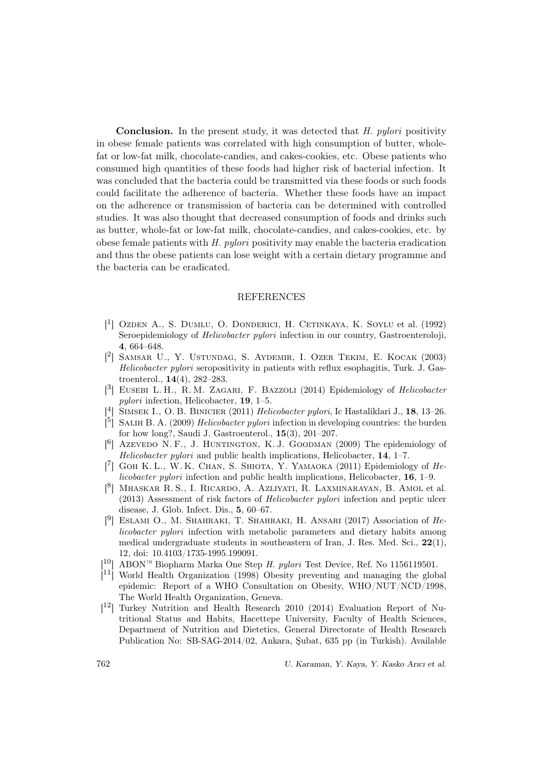Conclusion. In the present study, it was detected that H. pylori positivity in obese female patients was correlated with high consumption of butter, wholefat or low-fat milk, chocolate-candies, and cakes-cookies, etc. Obese patients who consumed high quantities of these foods had higher risk of bacterial infection. It was concluded that the bacteria could be transmitted via these foods or such foods could facilitate the adherence of bacteria. Whether these foods have an impact on the adherence or transmission of bacteria can be determined with controlled studies. It was also thought that decreased consumption of foods and drinks such as butter, whole-fat or low-fat milk, chocolate-candies, and cakes-cookies, etc. by obese female patients with H. pylori positivity may enable the bacteria eradication and thus the obese patients can lose weight with a certain dietary programme and the bacteria can be eradicated.

### **REFERENCES**

- [ 1 ] Ozden A., S. Dumlu, O. Donderici, H. Cetinkaya, K. Soylu et al. (1992) Seroepidemiology of Helicobacter pylori infection in our country, Gastroenteroloji, 4, 664–648.
- [ 2 ] Samsar U., Y. Ustundag, S. Aydemir, I. Ozer Tekim, E. Kocak (2003) Helicobacter pylori seropositivity in patients with reflux esophagitis, Turk. J. Gastroenterol., 14(4), 282–283.
- [<sup>3</sup>] EUSEBI L. H., R. M. ZAGARI, F. BAZZOLI (2014) Epidemiology of *Helicobacter* pylori infection, Helicobacter, 19, 1–5.
- <sup>[4]</sup> SIMSEK I., O. B. BINICIER (2011) *Helicobacter pylori*, Ic Hastaliklari J., **18**, 13–26.
- $\left[\begin{array}{cc} 5 \end{array}\right]$  SALIH B. A. (2009) *Helicobacter pylori* infection in developing countries: the burden for how long?, Saudi J. Gastroenterol., 15(3), 201–207.
- [<sup>6</sup>] Azevedo N. F., J. HUNTINGTON, K. J. GOODMAN (2009) The epidemiology of Helicobacter pylori and public health implications, Helicobacter, 14, 1–7.
- [7] GOH K. L., W. K. CHAN, S. SHIOTA, Y. YAMAOKA (2011) Epidemiology of Helicobacter pylori infection and public health implications, Helicobacter, 16, 1–9.
- [ 8 ] Mhaskar R. S., I. Ricardo, A. Azliyati, R. Laxminarayan, B. Amol et al. (2013) Assessment of risk factors of Helicobacter pylori infection and peptic ulcer disease, J. Glob. Infect. Dis., 5, 60–67.
- [<sup>9</sup>] ESLAMI O., M. SHAHRAKI, T. SHAHRAKI, H. ANSARI (2017) Association of Helicobacter pylori infection with metabolic parameters and dietary habits among medical undergraduate students in southeastern of Iran, J. Res. Med. Sci., 22(1), 12, doi: 10.4103/1735-1995.199091.
- [ <sup>10</sup>] ABON™ Biopharm Marka One Step H. pylori Test Device, Ref. No 1156119501.
- $\left[11\right]$  World Health Organization (1998) Obesity preventing and managing the global epidemic: Report of a WHO Consultation on Obesity, WHO/NUT/NCD/1998, The World Health Organization, Geneva.
- [ <sup>12</sup>] Turkey Nutrition and Health Research 2010 (2014) Evaluation Report of Nutritional Status and Habits, Hacettepe University, Faculty of Health Sciences, Department of Nutrition and Dietetics, General Directorate of Health Research Publication No: SB-SAG-2014/02, Ankara, Şubat, 635 pp (in Turkish). Available